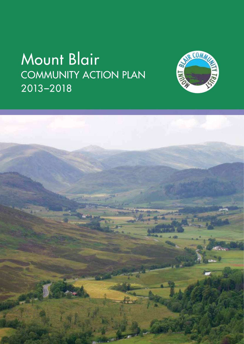# Mount Blair COMMUNITY ACTION PLAN 2013-2018



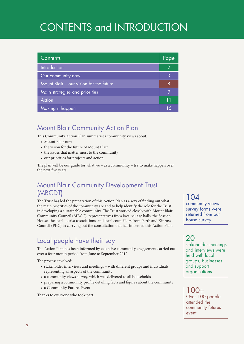## CONTENTS and INTRODUCTION

| Contents                                | Page           |
|-----------------------------------------|----------------|
| Introduction                            | $\overline{2}$ |
| Our community now                       | 3              |
| Mount Blair - our vision for the future | 8              |
| Main strategies and priorities          | 9              |
| Action                                  | 11             |
| Making it happen                        | 1.5            |

### Mount Blair Community Action Plan

This Community Action Plan summarises community views about:

- Mount Blair now
- the vision for the future of Mount Blair
- the issues that matter most to the community
- • our priorities for projects and action

The plan will be our guide for what we – as a community – try to make happen over the next five years.

### Mount Blair Community Development Trust (MBCDT)

The Trust has led the preparation of this Action Plan as a way of finding out what the main priorities of the community are and to help identify the role for the Trust in developing a sustainable community. The Trust worked closely with Mount Blair Community Council (MBCC), representatives from local village halls, the Session House, the local tourist associations, and local councillors from Perth and Kinross Council (PKC) in carrying out the consultation that has informed this Action Plan.

### Local people have their say

The Action Plan has been informed by extensive community engagement carried out over a four month period from June to September 2012.

The process involved:

- stakeholder interviews and meetings with different groups and individuals representing all aspects of the community
- a community views survey, which was delivered to all households
- preparing a community profile detailing facts and figures about the community
- a Community Futures Event

Thanks to everyone who took part.

104 community views survey forms were returned from our house survey

20 stakeholder meetings and interviews were held with local groups, businesses and support organisations

 $100+$ Over 100 people attended the community futures event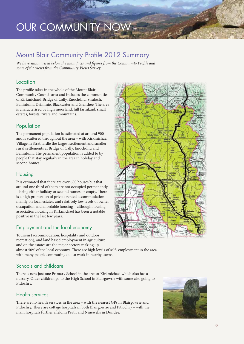## OUR COMMUNITY NOW

### Mount Blair Community Profile 2012 Summary

*We have summarised below the main facts and figures from the Community Profile and some of the views from the Community Views Survey.* 

### Location

The profile takes in the whole of the Mount Blair Community Council area and includes the communities of Kirkmichael, Bridge of Cally, Enochdhu, Straloch, Ballintuim, Drimmie, Blackwater and Glenshee. The area is characterised by high moorland, hill farmland, small estates, forests, rivers and mountains.

### Population

The permanent population is estimated at around 900 and is scattered throughout the area – with Kirkmichael Village in Strathardle the largest settlement and smaller rural settlements at Bridge of Cally, Enochdhu and Ballintuim. The permanent population is added to by people that stay regularly in the area in holiday and second homes.

### Housing

It is estimated that there are over 600 houses but that around one third of them are not occupied permanently – being either holiday or second homes or empty. There is a high proportion of private rented accommodation mainly on local estates, and relatively low levels of owner occupation and affordable housing – although housing association housing in Kirkmichael has been a notable positive in the last few years.

### Employment and the local economy

Tourism (accommodation, hospitality and outdoor recreation), and land based employment in agriculture and on the estates are the major sectors making up

almost 50% of the local economy. There are high levels of self- employment in the area with many people commuting out to work in nearby towns.

### Schools and childcare

There is now just one Primary School in the area at Kirkmichael which also has a nursery. Older children go to the High School in Blairgowrie with some also going to Pitlochry.

### Health services

There are no health services in the area – with the nearest GPs in Blairgowrie and Pitlochry. There are cottage hospitals in both Blairgowrie and Pitlochry – with the main hospitals further afield in Perth and Ninewells in Dundee.



CAIRNWE

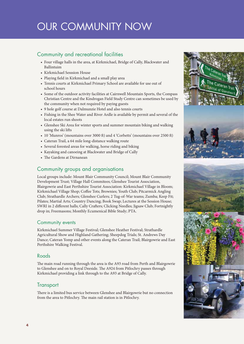## OUR COMMUNITY NOW

### Community and recreational facilities

- • Four village halls in the area, at Kirkmichael, Bridge of Cally, Blackwater and Ballintuim
- • Kirkmichael Sesssion House
- • Playing field in Kirkmichael and a small play area
- Tennis courts at Kirkmichael Primary School are available for use out of school hours
- • Some of the outdoor activity facilities at Cairnwell Mountain Sports, the Compass Christian Centre and the Kindrogan Field Study Centre can sometimes be used by the community when not required by paying guests
- 9 hole golf course at Dalmunzie Hotel and also tennis courts
- • Fishing in the Shee Water and River Ardle is available by permit and several of the local estates run shoots
- • Glenshee Ski Area for winter sports and summer mountain biking and walking using the ski lifts
- 10 'Munros' (mountains over 3000 ft) and 4 'Corbetts' (mountains over 2500 ft)
- Cateran Trail, a 64 mile long-distance walking route
- Several forested areas for walking, horse riding and biking
- • Kayaking and canoeing at Blackwater and Bridge of Cally
- The Gardens at Dirnanean

### Community groups and organisations

Local groups include: Mount Blair Community Council; Mount Blair Community Development Trust; Village Hall Commitees; Glenshee Tourist Association, Blairgowrie and East Perthshire Tourist Association: Kirkmichael Village in Bloom; Kirkmichael Village Shop; Coffee Tots; Brownies; Youth Club; Pitcarmick Angling Club; Strathardle Archers; Glenshee Curlers; 2 Tug-of-War teams; Zumba; Keep Fit; Pilates; Martial Arts; Country Dancing; Book Swap; Lectures at the Session House; SWRI in 2 different halls; Cally Crafters; Clicking Needles; Jigsaw Club; Fortnightly drop in; Freemasons; Monthly Ecumenical Bible Study; PTA.

#### Community events

Kirkmichael Summer Village Festival; Glenshee Heather Festival; Strathardle Agricultural Show and Highland Gathering; Sheepdog Trials; St. Andrews Day Dance; Cateran Yomp and other events along the Cateran Trail; Blairgowrie and East Perthshire Walking Festival.

#### Roads

The main road running through the area is the A93 road from Perth and Blairgowrie to Glenshee and on to Royal Deeside. The A924 from Pitlochry passes through Kirkmichael providing a link through to the A93 at Bridge of Cally.

### **Transport**

There is a limited bus service between Glenshee and Blairgowrie but no connection from the area to Pitlochry. The main rail station is in Pitlochry.





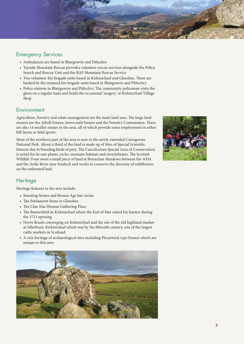

### Emergency Services

- • Ambulances are based in Blairgowrie and Pitlochry
- • Tayside Mountain Rescue provides volunteer rescue services alongside the Police Search and Rescue Unit and the RAF Mountain Rescue Service
- Two volunteer fire brigade units based in Kirkmichael and Glenshee. These are backed by the retained fire brigade units based in Blairgowrie and Pitlochry
- Police stations in Blairgowrie and Pitlochry. The community policeman visits the glens on a regular basis and holds the occasional 'surgery' at Kirkmichael Village Shop

### **Environment**

Agriculture, forestry and estate management are the main land uses. The large land owners are the Atholl Estates, Invercauld Estates and the Forestry Commission. There are also 14 smaller estates in the area, all of which provide some employment in either hill farms or field sports.

Most of the northern part of the area is now in the newly extended Cairngorms National Park. About a third of the land is made up of Sites of Special Scientific Interest due to breeding birds of prey. The Caernlochan Special Area of Conservation is noted for its rare plants, rocks, montane habitats and invertebrates. The Scottish Wildlife Trust owns a small piece of land at Brerachan Meadows between the A924 and the Ardle River near Straloch and works to conserve the diversity of wildflowers on the unfarmed land.



### **Heritage**

Heritage features in the area include:

- • Standing Stones and Bronze Age hut circles
- The Parliament Stone in Glenshee
- The Clan MacThomas Gathering Place
- The Bannerfield in Kirkmichael where the Earl of Mar raised his banner during the 1715 uprising
- • Drove Roads converging on Kirkmichael and the site of the old highland market at Sillerburn, Kirkmichael which was by the fifteenth century, one of the largest cattle markets in Scotland
- A rich heritage of archaeological sites including Pitcarmick type houses which are unique to this area

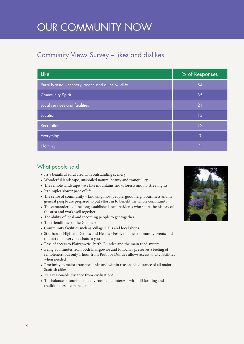## OUR COMMUNITY NOW

### Community Views Survey – likes and dislikes

| <b>Like</b>                                       | % of Responses |
|---------------------------------------------------|----------------|
| Rural Nature - scenery, peace and quiet, wildlife | 84             |
| <b>Community Spirit</b>                           | 35             |
| Local services and facilities                     | 21             |
| Location                                          | 13             |
| Recreation                                        | 12             |
| Everything                                        | 3              |
| Nothing                                           |                |

### What people said

- It's a beautiful rural area with outstanding scenery
- Wonderful landscape, unspoiled natural beauty and tranquillity
- The remote landscape we like mountains snow, forests and no street lights
- Its simpler slower pace of life
- The sense of community knowing most people, good neighbourliness and in general people are prepared to put effort in to benefit the whole community
- The camaraderie of the long established local residents who share the history of the area and work well together
- The ability of local and incoming people to get together
- The friendliness of the Glenners
- • Community facilities such as Village Halls and local shops
- • Strathardle Highland Games and Heather Festival the community events and the fact that everyone chats to you
- Ease of access to Blairgowrie, Perth, Dundee and the main road system
- • Being 30 minutes from both Blairgowrie and Pitlochry preserves a feeling of remoteness, but only 1 hour from Perth or Dundee allows access to city facilities when needed
- Proximity to major transport links and within reasonable distance of all major Scottish cities
- It's a reasonable distance from civilisation!
- • The balance of tourism and environmental interests with hill farming and traditional estate management

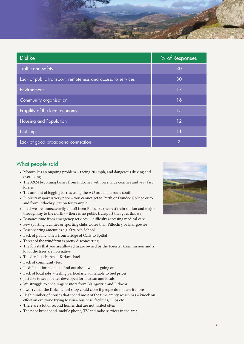

| <b>Dislike</b>                                              | % of Responses |
|-------------------------------------------------------------|----------------|
| Traffic and safety                                          | 30             |
| Lack of public transport, remoteness and access to services | 30             |
| Environment                                                 | 17             |
| Community organisation                                      | 16             |
| Fragility of the local economy                              | 15             |
| Housing and Population                                      | 12             |
| Nothing                                                     | 11             |
| Lack of good broadband connection                           | 7              |

### What people said

- • Motorbikes an ongoing problem racing 70+mph, and dangerous driving and overtaking
- The A924 becoming busier from Pitlochry with very wide coaches and very fast lorries
- The amount of logging lorries using the A93 as a main route south
- Public transport is very poor you cannot get to Perth or Dundee College or to and from Pitlochry Station for example
- I feel we are unnecessarily cut off from Pitlochry (nearest train station and major throughway to the north) – there is no public transport that goes this way
- • Distance time from emergency services …difficulty accessing medical care
- Few sporting facilities or sporting clubs closer than Pitlochry or Blairgowrie
- • Disappearing amenities e.g. Straloch School
- • Lack of public toilets from Bridge of Cally to Spittal
- Threat of the windfarm is pretty disconcerting
- The forests that you are allowed in are owned by the Forestry Commission and a lot of the trees are non native
- The derelict church at Kirkmichael
- Lack of community feel
- Its difficult for people to find out about what is going on
- • Lack of local jobs feeling particularly vulnerable to fuel prices
- Just like to see it better developed for tourism and locals
- We struggle to encourage visitors from Blairgowrie and Pitlochr.
- I worry that the Kirkmichael shop could close if people do not use it more
- High number of houses that spend most of the time empty which has a knock on effect on everyone trying to run a business, facilities, clubs etc
- There are a lot of second homes that are not visited often
- The poor broadband, mobile phone, TV and radio services in the area

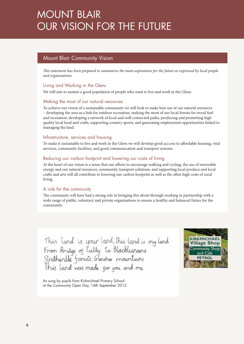## MOUNT BLAIR OUR VISION FOR THE FUTURE

### Mount Blair Community Vision

*This statement has been prepared to summarise the main aspirations for the future as expressed by local people and organisations.* 

#### Living and Working in the Glens

We will aim to sustain a good population of people who want to live and work in the Glens.

#### Making the most of our natural resources

To achieve our vision of a sustainable community we will look to make best use of our natural resources – developing the area as a hub for outdoor recreation, making the most of our local forests for wood fuel and recreation, developing a network of local and well connected paths, producing and promoting high quality local food and crafts, supporting country sports, and generating employment opportunities linked to managing the land.

#### Infrastructure, services and housing

To make it sustainable to live and work in the Glens we will develop good acccess to affordable housing, vital services, community facilities, and good communication and transport systems.

#### Reducing our carbon footprint and lowering our costs of living

At the heart of our vision is a sense that our efforts to encourage walking and cycling, the use of renewable energy and our natural resources, community transport solutions, and supporting local produce and local crafts and arts will all contribute to lowering our carbon footprint as well as the often high costs of rural living.

#### A role for the community

The community will have had a strong role in bringing this about through working in partnership with a wide range of public, voluntary and private organisations to ensure a healthy and balanced future for the community.

This land is your land, this land is my land<br>From Bridge of Cally to Blacklunans<br>Strathardle forests, Glenshee mountains<br>This land was made for you and me.



As sung by pupils from Kirkmichael Primary School at the Community Open Day, 14th September 2012.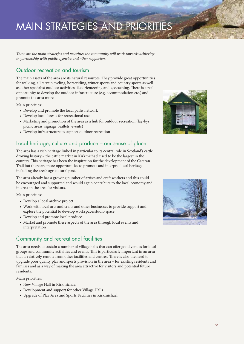# MAIN STRATEGIES AND PRIORITIES

*These are the main strategies and priorities the community will work towards achieving in partnership with public agencies and other supporters.* 

### Outdoor recreation and tourism

The main assets of the area are its natural resources. They provide great opportunities for walking, all terrain cycling, horseriding, winter sports and country sports as well as other specialist outdoor activities like orienteering and geocaching. There is a real opportunity to develop the outdoor infrastructure (e.g. accommodation etc.) and promote the area more.

Main priorities:

- • Develop and promote the local paths network
- Develop local forests for recreational use
- Marketing and promotion of the area as a hub for outdoor recreation (lay-bys, picnic areas, signage, leaflets, events)
- Develop infrastructure to support outdoor recreation

### Local heritage, culture and produce – our sense of place

The area has a rich heritage linked in particular to its central role in Scotland's cattle droving history – the cattle market in Kirkmichael used to be the largest in the country. This heritage has been the inspiration for the development of the Cateran Trail but there are more opportunities to promote and interpret local heritage including the area's agricultural past.

The area already has a growing number of artists and craft workers and this could be encouraged and supported and would again contribute to the local economy and interest in the area for visitors.

Main priorities:

- Develop a local archive project
- Work with local arts and crafts and other businesses to provide support and explore the potential to develop workspace/studio space
- Develop and promote local produce
- Market and promote these aspects of the area through local events and interpretation

### Community and recreational facilities

The area needs to sustain a number of village halls that can offer good venues for local groups and community activities and events. This is particularly important in an area that is relatively remote from other facilities and centres. There is also the need to upgrade poor quality play and sports provision in the area – for existing residents and families and as a way of making the area attractive for visitors and potential future residents.

Main priorities:

- New Village Hall in Kirkmichael
- Development and support for other Village Halls
- • Upgrade of Play Area and Sports Facilities in Kirkmichael



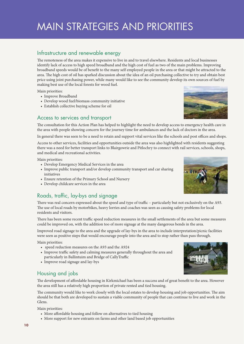## MAIN STRATEGIES AND PRIORITIES

### Infrastructure and renewable energy

The remoteness of the area makes it expensive to live in and to travel elsewhere. Residents and local businesses identify lack of access to high speed broadband and the high cost of fuel as two of the main problems. Improving broadband speeds would be of benefit to the many self employed people in the area or that might be attracted to the area. The high cost of oil has sparked discussion about the idea of an oil purchasing collective to try and obtain best price using joint purchasing power, while many would like to see the community develop its own sources of fuel by making best use of the local forests for wood fuel.

Main priorities:

- Improve Broadband
- Develop wood fuel/biomass community initiative
- Establish collective buying scheme for oil

### Access to services and transport



The consultation for this Action Plan has helped to highlight the need to develop access to emergency health care in the area with people showing concern for the journey time for ambulances and the lack of doctors in the area.

In general there was seen to be a need to retain and support vital services like the schools and post offices and shops.

Access to other services, facilities and opportunities outside the area was also highlighted with residents suggesting there was a need for better transport links to Blairgowrie and Pitlochry to connect with rail services, schools, shops, and medical and recreational activities.

Main priorities:

- • Develop Emergency Medical Services in the area
- Improve public transport and/or develop community transport and car sharing initiatives
- Ensure retention of the Primary School and Nursery
- • Develop childcare services in the area

### Roads, traffic, lay-bys and signage

There was real concern expressed about the speed and type of traffic – particularly but not exclusively on the A93. The use of local roads by motorbikes, heavy lorries and coaches was seen as causing safety problems for local residents and visitors.

There has been some recent traffic speed reduction measures in the small settlements of the area but some measures could be improved on, with the addition too of more signage at the many dangerous bends in the area.

Improved road signage to the area and the upgrade of lay-bys in the area to include interpretation/picnic facilities were seen as positive steps that would encourage people into the area and to stop rather than pass through.

Main priorities:

- • speed reduction measures on the A93 and the A924
- Improve traffic safety and calming measures generally throughout the area and particularly in Ballintuim and Bridge of CallyTraffic
- Improve road signage and lay-bys

### Housing and jobs

The development of affordable housing in Kirkmichael has been a success and of great benefit to the area. However the area still has a relatively high proportion of private rented and tied housing.

The community would like to work closely with the local estates to develop housing and job opportunities. The aim should be that both are developed to sustain a viable community of people that can continue to live and work in the Glens.

Main priorities:

- More affordable housing and follow on alternatives to tied housing
- More support for new entrants on farms and other land based job opportunities



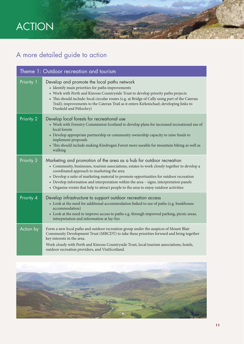# ACTION

## A more detailed guide to action

| Theme 1: Outdoor recreation and tourism |                                                                                                                                                                                                                                                                                                                                                                                                                                                                                                  |  |
|-----------------------------------------|--------------------------------------------------------------------------------------------------------------------------------------------------------------------------------------------------------------------------------------------------------------------------------------------------------------------------------------------------------------------------------------------------------------------------------------------------------------------------------------------------|--|
| Priority 1                              | Develop and promote the local paths network<br>• Identify main priorities for paths improvements<br>• Work with Perth and Kinross Countryside Trust to develop priority paths projects<br>• This should include: local circular routes (e.g. at Bridge of Cally using part of the Cateran<br>Trail); improvements to the Cateran Trail as it enters Kirkmichael; developing links to<br>Dunkeld and Pitlochry)                                                                                   |  |
| Priority 2                              | Develop local forests for recreational use<br>• Work with Forestry Commission Scotland to develop plans for increased recreational use of<br>local forests<br>• Develop appropriate partnership or community ownership capacity to raise funds to<br>implement proposals<br>• This should include making Kindrogan Forest more useable for mountain biking as well as<br>walking                                                                                                                 |  |
| Priority 3                              | Marketing and promotion of the area as a hub for outdoor recreation<br>• Community, businesses, tourism associations, estates to work closely together to develop a<br>coordinated approach to marketing the area<br>• Develop a suite of marketing material to promote opportunities for outdoor recreation<br>• Develop information and interpretation within the area - signs, interpretation panels<br>• Organise events that help to attract people to the area to enjoy outdoor activities |  |
| Priority 4                              | Develop infrastructure to support outdoor recreation access<br>• Look at the need for additional accommodation linked to use of paths (e.g. bunkhouse<br>accommodation)<br>• Look at the need to improve access to paths e.g. through improved parking, picnic areas,<br>interpretation and information at lay-bys                                                                                                                                                                               |  |
| Action by                               | Form a new local paths and outdoor recreation group under the auspices of Mount Blair<br>Community Development Trust (MBCDT) to take these priorities forward and bring together<br>key interests in the area.<br>Work closely with Perth and Kinross Countryside Trust, local tourism associations, hotels,<br>outdoor recreation providers, and VisitScotland.                                                                                                                                 |  |

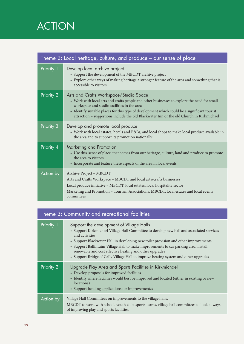# ACTION

| Theme 2: Local heritage, culture, and produce – our sense of place |                                                                                                                                                                                                                                                                                                                                                                                  |  |
|--------------------------------------------------------------------|----------------------------------------------------------------------------------------------------------------------------------------------------------------------------------------------------------------------------------------------------------------------------------------------------------------------------------------------------------------------------------|--|
| Priority 1                                                         | Develop local archive project<br>• Support the development of the MBCDT archive project<br>• Explore other ways of making heritage a stronger feature of the area and something that is<br>accessible to visitors                                                                                                                                                                |  |
| Priority 2                                                         | Arts and Crafts Workspace/Studio Space<br>• Work with local arts and crafts people and other businesses to explore the need for small<br>workspace and studio facilities in the area<br>• Identify suitable places for this type of development which could be a significant tourist<br>attraction - suggestions include the old Blackwater Inn or the old Church in Kirkmichael |  |
| Priority 3                                                         | Develop and promote local produce<br>• Work with local estates, hotels and B&Bs, and local shops to make local produce available in<br>the area and to support its promotion nationally                                                                                                                                                                                          |  |
| Priority 4                                                         | <b>Marketing and Promotion</b><br>• Use this 'sense of place' that comes from our heritage, culture, land and produce to promote<br>the area to visitors<br>• Incorporate and feature these aspects of the area in local events.                                                                                                                                                 |  |
| Action by                                                          | Archive Project - MBCDT<br>Arts and Crafts Workspace - MBCDT and local arts/crafts businesses<br>Local produce initiative - MBCDT, local estates, local hospitality sector<br>Marketing and Promotion - Tourism Associations, MBCDT, local estates and local events<br>committees                                                                                                |  |

| Theme 3: Community and recreational facilities |                                                                                                                                                                                                                                                                                                                                                                                                                                                                                        |  |
|------------------------------------------------|----------------------------------------------------------------------------------------------------------------------------------------------------------------------------------------------------------------------------------------------------------------------------------------------------------------------------------------------------------------------------------------------------------------------------------------------------------------------------------------|--|
| Priority 1                                     | Support the development of Village Halls<br>• Support Kirkmichael Village Hall Committee to develop new hall and associated services<br>and activities<br>• Support Blackwater Hall in developing new toilet provision and other improvements<br>• Support Ballintuim Village Hall to make improvements to car parking area, install<br>renewable and cost effective heating and other upgrades<br>• Support Bridge of Cally Village Hall to improve heating system and other upgrades |  |
| Priority 2                                     | Upgrade Play Area and Sports Facilities in Kirkmichael<br>• Develop proposals for improved facilities<br>• Identify where facilities would best be improved and located (either in existing or new<br>locations)<br>• Support funding applications for improvement/s                                                                                                                                                                                                                   |  |
| Action by                                      | Village Hall Committees on improvements to the village halls.<br>MBCDT to work with school, youth club, sports teams, village hall committees to look at ways<br>of improving play and sports facilities.                                                                                                                                                                                                                                                                              |  |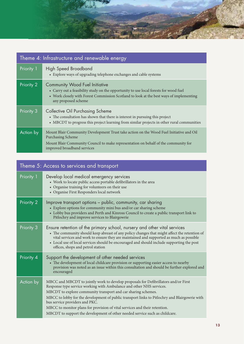

| Theme 4: Infrastructure and renewable energy |                                                                                                                                                                                                                                                  |  |
|----------------------------------------------|--------------------------------------------------------------------------------------------------------------------------------------------------------------------------------------------------------------------------------------------------|--|
| Priority 1                                   | <b>High Speed Broadband</b><br>• Explore ways of upgrading telephone exchanges and cable systems                                                                                                                                                 |  |
| Priority 2                                   | <b>Community Wood Fuel Initiative</b><br>• Carry out a feasibility study on the opportunity to use local forests for wood fuel<br>• Work closely with Forest Commission Scotland to look at the best ways of implementing<br>any proposed scheme |  |
| Priority 3                                   | <b>Collective Oil Purchasing Scheme</b><br>• The consultation has shown that there is interest in pursuing this project<br>• MBCDT to progress this project learning from similar projects in other rural communities                            |  |
| Action by                                    | Mount Blair Community Development Trust take action on the Wood Fuel Initiative and Oil<br><b>Purchasing Scheme</b><br>Mount Blair Community Council to make representation on behalf of the community for<br>improved broadband services        |  |

| Theme 5: Access to services and transport |                                                                                                                                                                                                                                                                                                                                                                                                                                                                                                                              |  |
|-------------------------------------------|------------------------------------------------------------------------------------------------------------------------------------------------------------------------------------------------------------------------------------------------------------------------------------------------------------------------------------------------------------------------------------------------------------------------------------------------------------------------------------------------------------------------------|--|
| Priority 1                                | Develop local medical emergency services<br>• Work to locate public access portable defibrillators in the area<br>• Organise training for volunteers on their use<br>• Organise First Responders local network                                                                                                                                                                                                                                                                                                               |  |
| Priority 2                                | Improve transport options – public, community, car sharing<br>• Explore options for community mini bus and/or car sharing scheme<br>• Lobby bus providers and Perth and Kinross Council to create a public transport link to<br>Pitlochry and improve services to Blairgowrie                                                                                                                                                                                                                                                |  |
| Priority 3                                | Ensure retention of the primary school, nursery and other vital services<br>• The community should keep abreast of any policy changes that might affect the retention of<br>vital services and work to ensure they are maintained and supported as much as possible<br>• Local use of local services should be encouraged and should include supporting the post<br>offices, shops and petrol station                                                                                                                        |  |
| Priority 4                                | Support the development of other needed services<br>• The development of local childcare provision or supporting easier access to nearby<br>provision was noted as an issue within this consultation and should be further explored and<br>encouraged                                                                                                                                                                                                                                                                        |  |
| Action by                                 | MBCC and MBCDT to jointly work to develop proposals for Defibrillators and/or First<br>Response type service working with Ambulance and other NHS services.<br>MBCDT to explore community transport and car sharing schemes.<br>MBCC to lobby for the development of public transport links to Pitlochry and Blairgowrie with<br>bus service providers and PKC.<br>MBCC to monitor plans for provision of vital services and their retention.<br>MBCDT to support the development of other needed service such as childcare. |  |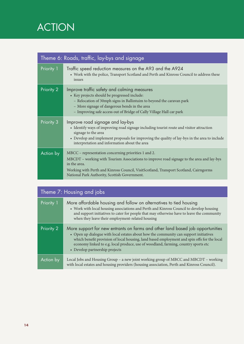# ACTION

| Theme 6: Roads, traffic, lay-bys and signage |                                                                                                                                                                                                                                                                                                             |  |
|----------------------------------------------|-------------------------------------------------------------------------------------------------------------------------------------------------------------------------------------------------------------------------------------------------------------------------------------------------------------|--|
| Priority 1                                   | Traffic speed reduction measures on the A93 and the A924<br>• Work with the police, Transport Scotland and Perth and Kinross Council to address these<br>issues                                                                                                                                             |  |
| Priority 2                                   | Improve traffic safety and calming measures<br>• Key projects should be progressed include:<br>- Relocation of 30mph signs in Ballintuim to beyond the caravan park<br>- More signage of dangerous bends in the area<br>- Improving safe access out of Bridge of Cally Village Hall car park                |  |
| Priority 3                                   | Improve road signage and lay-bys<br>• Identify ways of improving road signage including tourist route and visitor attraction<br>signage to the area<br>• Develop and implement proposals for improving the quality of lay-bys in the area to include<br>interpretation and information about the area       |  |
| Action by                                    | MBCC – representation concerning priorities 1 and 2.<br>MBCDT – working with Tourism Associations to improve road signage to the area and lay-bys<br>in the area.<br>Working with Perth and Kinross Council, VisitScotland, Transport Scotland, Cairngorms<br>National Park Authority, Scottish Government. |  |

| Theme 7: Housing and jobs |                                                                                                                                                                                                                                                                                                                                                                                               |  |
|---------------------------|-----------------------------------------------------------------------------------------------------------------------------------------------------------------------------------------------------------------------------------------------------------------------------------------------------------------------------------------------------------------------------------------------|--|
| Priority 1                | More affordable housing and follow on alternatives to tied housing<br>• Work with local housing associations and Perth and Kinross Council to develop housing<br>and support initiatives to cater for people that may otherwise have to leave the community<br>when they leave their employment-related housing                                                                               |  |
| Priority 2                | More support for new entrants on farms and other land based job opportunities<br>• Open up dialogue with local estates about how the community can support initiatives<br>which benefit provision of local housing, land based employment and spin offs for the local<br>economy linked to e.g. local produce, use of woodland, farming, country sports etc<br>• Develop partnership projects |  |
| Action by                 | Local Jobs and Housing Group - a new joint working group of MBCC and MBCDT - working<br>with local estates and housing providers (housing association, Perth and Kinross Council).                                                                                                                                                                                                            |  |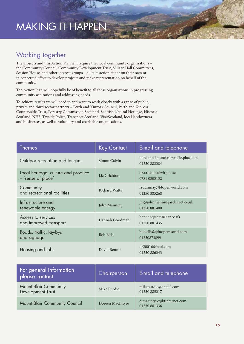## MAKING IT HAPPEN

### Working together

The projects and this Action Plan will require that local community organisations – the Community Council, Community Development Trust, Village Hall Committees, Session House, and other interest groups – all take action either on their own or in concerted effort to develop projects and make representation on behalf of the community.

The Action Plan will hopefully be of benefit to all these organisations in progressing community aspirations and addressing needs.

To achieve results we will need to and want to work closely with a range of public, private and third sector partners – Perth and Kinross Council, Perth and Kinross Countryside Trust, Forestry Commission Scotland, Scottish Natural Heritage, Historic Scotland, NHS, Tayside Police, Transport Scotland, VisitScotland, local landowners and businesses, as well as voluntary and charitable organisations.

| <b>Themes</b>                                             | <b>Key Contact</b>   | E-mail and telephone                             |
|-----------------------------------------------------------|----------------------|--------------------------------------------------|
| Outdoor recreation and tourism                            | Simon Calvin         | fionaandsimon@roryrosie.plus.com<br>01250 882284 |
| Local heritage, culture and produce<br>- 'sense of place' | Liz Crichton         | liz.crichton@virgin.net<br>0781 0803132          |
| Community<br>and recreational facilities                  | <b>Richard Watts</b> | rrdunmay@btopenworld.com<br>01250 885268         |
| Infrastructure and<br>renewable energy                    | John Manning         | jm@johnmanningarchitect.co.uk<br>01250 881400    |
| Access to services<br>and improved transport              | Hannah Goodman       | hannah@camnacar.co.uk<br>01250 881435            |
| Roads, traffic, lay-bys<br>and signage                    | <b>Bob Ellis</b>     | bob.ellis2@btopenworld.com<br>01250873899        |
| Housing and jobs                                          | David Rennie         | dr200166@aol.com<br>01250 886243                 |

| For general information<br>please contact         | Chairperson      | E-mail and telephone                       |
|---------------------------------------------------|------------------|--------------------------------------------|
| <b>Mount Blair Community</b><br>Development Trust | Mike Purdie      | mikepurdie@onetel.com<br>01250 885217      |
| Mount Blair Community Council                     | Doreen MacIntyre | d.macintyre@btinternet.com<br>01250 881336 |